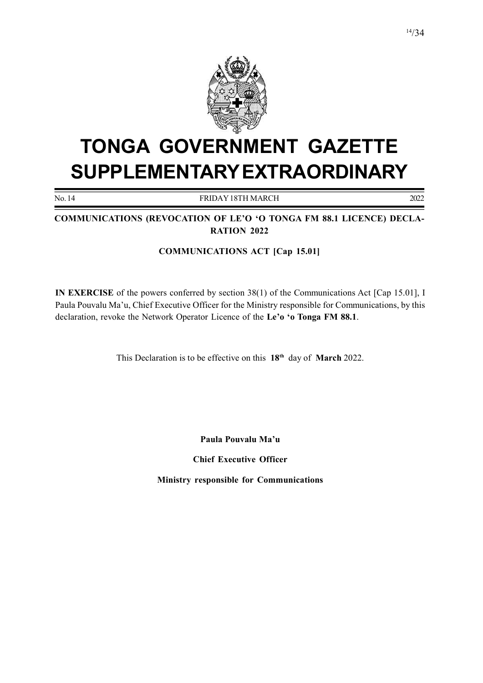

# TONGA GOVERNMENT GAZETTE SUPPLEMENTARY EXTRAORDINARY

No. 14 FRIDAY 18TH MARCH 2022

COMMUNICATIONS (REVOCATION OF LE'O 'O TONGA FM 88.1 LICENCE) DECLA-RATION 2022

### COMMUNICATIONS ACT [Cap 15.01]

IN EXERCISE of the powers conferred by section 38(1) of the Communications Act [Cap 15.01], I Paula Pouvalu Ma'u, Chief Executive Officer for the Ministry responsible for Communications, by this declaration, revoke the Network Operator Licence of the Le'o 'o Tonga FM 88.1.

This Declaration is to be effective on this 18<sup>th</sup> day of March 2022.

Paula Pouvalu Ma'u

Chief Executive Officer

Ministry responsible for Communications